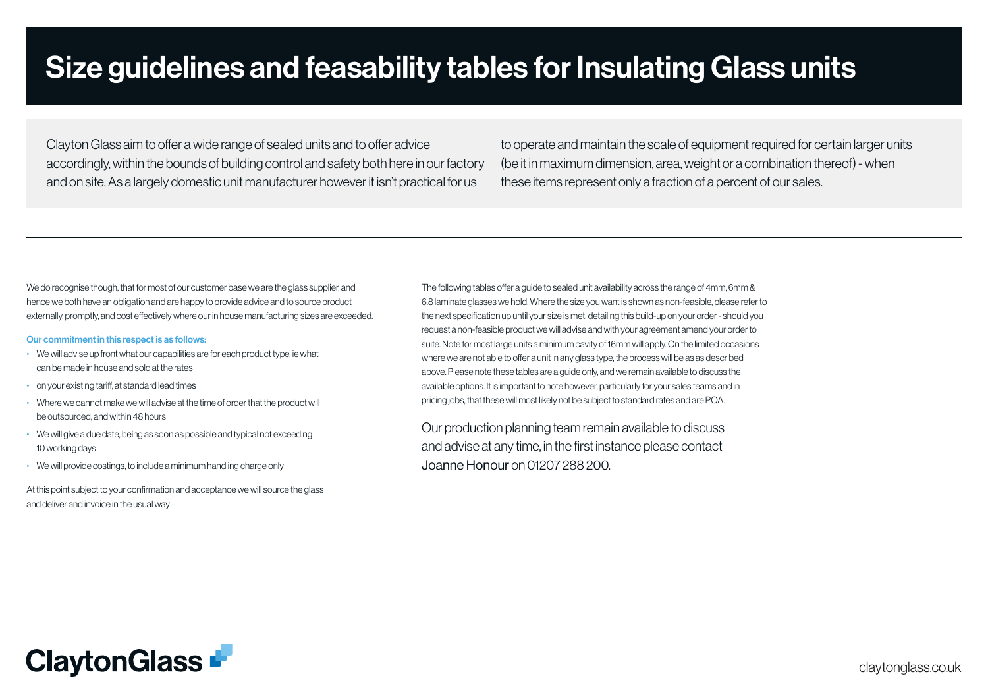Clayton Glass aim to offer a wide range of sealed units and to offer advice accordingly, within the bounds of building control and safety both here in our factory and on site. As a largely domestic unit manufacturer however it isn't practical for us

to operate and maintain the scale of equipment required for certain larger units (be it in maximum dimension, area, weight or a combination thereof) - when these items represent only a fraction of a percent of our sales.

We do recognise though, that for most of our customer base we are the glass supplier, and hence we both have an obligation and are happy to provide advice and to source product externally, promptly, and cost effectively where our in house manufacturing sizes are exceeded.

#### Our commitment in this respect is as follows:

- We will advise up front what our capabilities are for each product type, ie what can be made in house and sold at the rates
- on your existing tariff, at standard lead times
- Where we cannot make we will advise at the time of order that the product will be outsourced, and within 48 hours
- We will give a due date, being as soon as possible and typical not exceeding 10 working days
- We will provide costings, to include a minimum handling charge only

At this point subject to your confirmation and acceptance we will source the glass and deliver and invoice in the usual way

The following tables offer a guide to sealed unit availability across the range of 4mm, 6mm & 6.8 laminate glasses we hold. Where the size you want is shown as non-feasible, please refer to the next specification up until your size is met, detailing this build-up on your order - should you request a non-feasible product we will advise and with your agreement amend your order to suite. Note for most large units a minimum cavity of 16mm will apply. On the limited occasions where we are not able to offer a unit in any glass type, the process will be as as described above. Please note these tables are a guide only, and we remain available to discuss the available options. It is important to note however, particularly for your sales teams and in pricing jobs, that these will most likely not be subject to standard rates and are POA.

Our production planning team remain available to discuss and advise at any time, in the first instance please contact Joanne Honour on 01207 288 200.

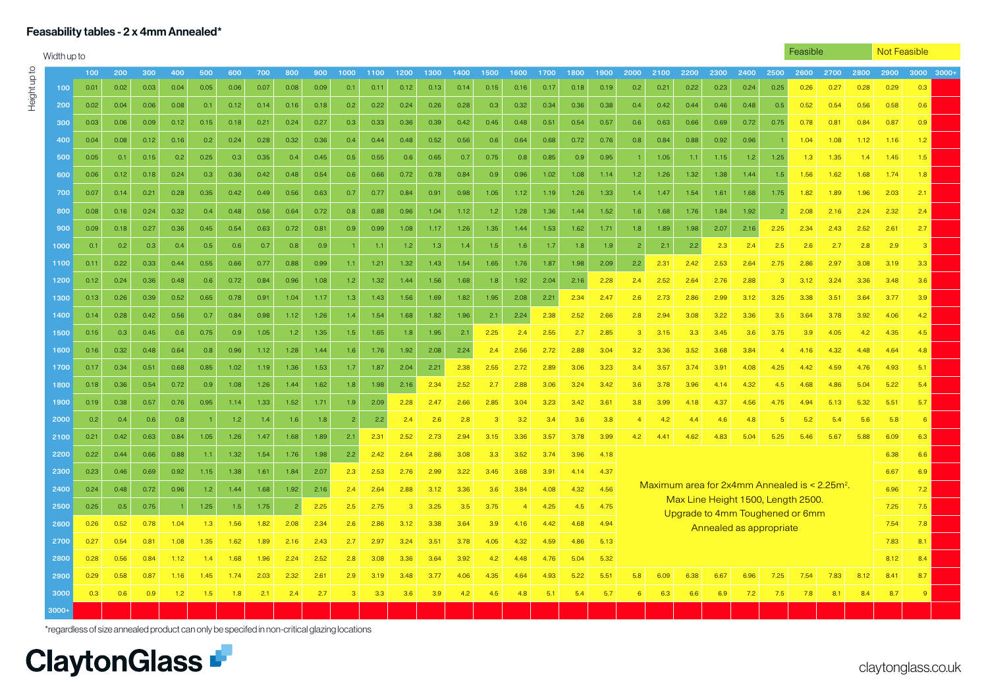## Feasability tables - 2 x 4mm Annealed\*

Height up to

Heightupto

| Width up to |      |      |      |      |                  |      |      |                |      |      |      |      |      |      |      |                |      |      |      |                |      |      |      |                         |                | Feasible                                                                                |      |      |      | Not Feasible     |  |
|-------------|------|------|------|------|------------------|------|------|----------------|------|------|------|------|------|------|------|----------------|------|------|------|----------------|------|------|------|-------------------------|----------------|-----------------------------------------------------------------------------------------|------|------|------|------------------|--|
|             | 100  | 200  | 300  | 400  | 500              | 600  | 700  | 800            | 900  | 1000 | 1100 | 1200 | 1300 | 1400 | 1500 | 1600           | 1700 | 1800 | 1900 | 2000           | 2100 | 2200 | 2300 | 2400                    | 2500           | 2600                                                                                    | 2700 | 2800 | 2900 | $3000$ $3000+$   |  |
| 100         | 0.01 | 0.02 | 0.03 | 0.04 | 0.05             | 0.06 | 0.07 | 0.08           | 0.09 | 0.1  | 0.11 | 0.12 | 0.13 | 0.14 | 0.15 | 0.16           | 0.17 | 0.18 | 0.19 | 0.2            | 0.21 | 0.22 | 0.23 | 0.24                    | 0.25           | 0.26                                                                                    | 0.27 | 0.28 | 0.29 | 0.3              |  |
| 200         | 0.02 | 0.04 | 0.06 | 0.08 | 0.1              | 0.12 | 0.14 | 0.16           | 0.18 | 0.2  | 0.22 | 0.24 | 0.26 | 0.28 | 0.3  | 0.32           | 0.34 | 0.36 | 0.38 | 0.4            | 0.42 | 0.44 | 0.46 | 0.48                    | 0.5            | 0.52                                                                                    | 0.54 | 0.56 | 0.58 | 0.6              |  |
| 300         | 0.03 | 0.06 | 0.09 | 0.12 | 0.15             | 0.18 | 0.21 | 0.24           | 0.27 | 0.3  | 0.33 | 0.36 | 0.39 | 0.42 | 0.45 | 0.48           | 0.51 | 0.54 | 0.57 | 0.6            | 0.63 | 0.66 | 0.69 | 0.72                    | 0.75           | 0.78                                                                                    | 0.81 | 0.84 | 0.87 | 0.9              |  |
| 400         | 0.04 | 0.08 | 0.12 | 0.16 | 0.2              | 0.24 | 0.28 | 0.32           | 0.36 | 0.4  | 0.44 | 0.48 | 0.52 | 0.56 | 0.6  | 0.64           | 0.68 | 0.72 | 0.76 | 0.8            | 0.84 | 0.88 | 0.92 | 0.96                    |                | 1.04                                                                                    | 1.08 | 1.12 | 1.16 | 1.2              |  |
| 500         | 0.05 | 0.1  | 0.15 | 0.2  | 0.25             | 0.3  | 0.35 | 0.4            | 0.45 | 0.5  | 0.55 | 0.6  | 0.65 | 0.7  | 0.75 | 0.8            | 0.85 | 0.9  | 0.95 |                | 1.05 | 1.1  | 1.15 | 1.2                     | 1.25           | 1.3                                                                                     | 1.35 | 1.4  | 1.45 | 1.5              |  |
| 600         | 0.06 | 0.12 | 0.18 | 0.24 | 0.3              | 0.36 | 0.42 | 0.48           | 0.54 | 0.6  | 0.66 | 0.72 | 0.78 | 0.84 | 0.9  | 0.96           | 1.02 | 1.08 | 1.14 | 1.2            | 1.26 | 1.32 | 1.38 | 1.44                    | 1.5            | 1.56                                                                                    | 1.62 | 1.68 | 1.74 | 1.8              |  |
| 700         | 0.07 | 0.14 | 0.21 | 0.28 | 0.35             | 0.42 | 0.49 | 0.56           | 0.63 | 0.7  | 0.77 | 0.84 | 0.91 | 0.98 | 1.05 | 1.12           | 1.19 | 1.26 | 1.33 | 1.4            | 1.47 | 1.54 | 1.61 | 1.68                    | 1.75           | 1.82                                                                                    | 1.89 | 1.96 | 2.03 | 2.1              |  |
| 800         | 0.08 | 0.16 | 0.24 | 0.32 | 0.4              | 0.48 | 0.56 | 0.64           | 0.72 | 0.8  | 0.88 | 0.96 | 1.04 | 1.12 | 1.2  | 1.28           | 1.36 | 1.44 | 1.52 | 1.6            | 1.68 | 1.76 | 1.84 | 1.92                    | $\overline{c}$ | 2.08                                                                                    | 2.16 | 2.24 | 2.32 | 2.4              |  |
| 900         | 0.09 | 0.18 | 0.27 | 0.36 | 0.45             | 0.54 | 0.63 | 0.72           | 0.81 | 0.9  | 0.99 | 1.08 | 1.17 | 1.26 | 1.35 | 1.44           | 1.53 | 1.62 | 1.71 | 1.8            | 1.89 | 1.98 | 2.07 | 2.16                    | 2.25           | 2.34                                                                                    | 2.43 | 2.52 | 2.61 | 2.7              |  |
| 1000        | 0.1  | 0.2  | 0.3  | 0.4  | 0.5              | 0.6  | 0.7  | 0.8            | 0.9  |      | 1.1  | 1.2  | 1.3  | 1.4  | 1.5  | 1.6            | 1.7  | 1.8  | 1.9  | $\overline{2}$ | 2.1  | 2.2  | 2.3  | 2.4                     | 2.5            | 2.6                                                                                     | 2.7  | 2.8  | 2.9  | 3                |  |
| 1100        | 0.11 | 0.22 | 0.33 | 0.44 | 0.55             | 0.66 | 0.77 | 0.88           | 0.99 | 1.1  | 1.21 | 1.32 | 1.43 | 1.54 | 1.65 | 1.76           | 1.87 | 1.98 | 2.09 | 2.2            | 2.31 | 2.42 | 2.53 | 2.64                    | 2.75           | 2.86                                                                                    | 2.97 | 3.08 | 3.19 | 3.3 <sub>°</sub> |  |
| 1200        | 0.12 | 0.24 | 0.36 | 0.48 | 0.6              | 0.72 | 0.84 | 0.96           | 1.08 | 1.2  | 1.32 | 1.44 | 1.56 | 1.68 | 1.8  | 1.92           | 2.04 | 2.16 | 2.28 | 2.4            | 2.52 | 2.64 | 2.76 | 2.88                    | 3              | 3.12                                                                                    | 3.24 | 3.36 | 3.48 | 3.6              |  |
| 1300        | 0.13 | 0.26 | 0.39 | 0.52 | 0.65             | 0.78 | 0.91 | 1.04           | 1.17 | 1.3  | 1.43 | 1.56 | 1.69 | 1.82 | 1.95 | 2.08           | 2.21 | 2.34 | 2.47 | 2.6            | 2.73 | 2.86 | 2.99 | 3.12                    | 3.25           | 3.38                                                                                    | 3.51 | 3.64 | 3.77 | 3.9 <sub>2</sub> |  |
| 1400        | 0.14 | 0.28 | 0.42 | 0.56 | 0.7              | 0.84 | 0.98 | 1.12           | 1.26 | 1.4  | 1.54 | 1.68 | 1.82 | 1.96 | 2.1  | 2.24           | 2.38 | 2.52 | 2.66 | 2.8            | 2.94 | 3.08 | 3.22 | 3.36                    | 3.5            | 3.64                                                                                    | 3.78 | 3.92 | 4.06 | 4.2              |  |
| 1500        | 0.15 | 0.3  | 0.45 | 0.6  | 0.75             | 0.9  | 1.05 | 1.2            | 1.35 | 1.5  | 1.65 | 1.8  | 1.95 | 2.1  | 2.25 | 2.4            | 2.55 | 2.7  | 2.85 | $\mathbf{3}$   | 3.15 | 3.3  | 3.45 | 3.6                     | 3.75           | 3.9                                                                                     | 4.05 | 4.2  | 4.35 | 4.5              |  |
| 1600        | 0.16 | 0.32 | 0.48 | 0.64 | 0.8              | 0.96 | 1.12 | 1.28           | 1.44 | 1.6  | 1.76 | 1.92 | 2.08 | 2.24 | 2.4  | 2.56           | 2.72 | 2.88 | 3.04 | 3.2            | 3.36 | 3.52 | 3.68 | 3.84                    | $\overline{4}$ | 4.16                                                                                    | 4.32 | 4.48 | 4.64 | 4.8              |  |
| 1700        | 0.17 | 0.34 | 0.51 | 0.68 | 0.85             | 1.02 | 1.19 | 1.36           | 1.53 | 1.7  | 1.87 | 2.04 | 2.21 | 2.38 | 2.55 | 2.72           | 2.89 | 3.06 | 3.23 | 3.4            | 3.57 | 3.74 | 3.91 | 4.08                    | 4.25           | 4.42                                                                                    | 4.59 | 4.76 | 4.93 | 5.1              |  |
| 1800        | 0.18 | 0.36 | 0.54 | 0.72 | 0.9              | 1.08 | 1.26 | 1.44           | 1.62 | 1.8  | 1.98 | 2.16 | 2.34 | 2.52 | 2.7  | 2.88           | 3.06 | 3.24 | 3.42 | 3.6            | 3.78 | 3.96 | 4.14 | 4.32                    | 4.5            | 4.68                                                                                    | 4.86 | 5.04 | 5.22 | 5.4              |  |
| 1900        | 0.19 | 0.38 | 0.57 | 0.76 | 0.95             | 1.14 | 1.33 | 1.52           | 1.71 | 1.9  | 2.09 | 2.28 | 2.47 | 2.66 | 2.85 | 3.04           | 3.23 | 3.42 | 3.61 | 3.8            | 3.99 | 4.18 | 4.37 | 4.56                    | 4.75           | 4.94                                                                                    | 5.13 | 5.32 | 5.51 | 5.7              |  |
| 2000        | 0.2  | 0.4  | 0.6  | 0.8  |                  | 1.2  | 1.4  | 1.6            | 1.8  |      | 2.2  | 2.4  | 2.6  | 2.8  | 3    | 3.2            | 3.4  | 3.6  | 3.8  | $\overline{4}$ | 4.2  | 4.4  | 4.6  | 4.8                     | 5              | 5.2                                                                                     | 5.4  | 5.6  | 5.8  | 6                |  |
| 2100        | 0.21 | 0.42 | 0.63 | 0.84 | 1.05             | 1.26 | 1.47 | 1.68           | 1.89 | 2.1  | 2.31 | 2.52 | 2.73 | 2.94 | 3.15 | 3.36           | 3.57 | 3.78 | 3.99 | 4.2            | 4.41 | 4.62 | 4.83 | 5.04                    | 5.25           | 5.46                                                                                    | 5.67 | 5.88 | 6.09 | 6.3              |  |
| 2200        | 0.22 | 0.44 | 0.66 | 0.88 | 1.1 <sub>1</sub> | 1.32 | 1.54 | 1.76           | 1.98 | 2.2  | 2.42 | 2.64 | 2.86 | 3.08 | 3.3  | 3.52           | 3.74 | 3.96 | 4.18 |                |      |      |      |                         |                |                                                                                         |      |      | 6.38 | 6.6              |  |
| 2300        | 0.23 | 0.46 | 0.69 | 0.92 | 1.15             | 1.38 | 1.61 | 1.84           | 2.07 | 2.3  | 2.53 | 2.76 | 2.99 | 3.22 | 3.45 | 3.68           | 3.91 | 4.14 | 4.37 |                |      |      |      |                         |                |                                                                                         |      |      | 6.67 | 6.9              |  |
| 2400        | 0.24 | 0.48 | 0.72 | 0.96 | 1.2              | 1.44 | 1.68 | 1.92           | 2.16 | 2.4  | 2.64 | 2.88 | 3.12 | 3.36 | 3.6  | 3.84           | 4.08 | 4.32 | 4.56 |                |      |      |      |                         |                | Maximum area for $2x4mm$ Annealed is < $2.25m2$ .<br>Max Line Height 1500, Length 2500. |      |      | 6.96 | 7.2              |  |
| 2500        | 0.25 | 0.5  | 0.75 |      | 1.25             | 1.5  | 1.75 | $\overline{2}$ | 2.25 | 2.5  | 2.75 | 3    | 3.25 | 3.5  | 3.75 | $\overline{4}$ | 4.25 | 4.5  | 4.75 |                |      |      |      |                         |                | Upgrade to 4mm Toughened or 6mm                                                         |      |      | 7.25 | 7.5              |  |
| 2600        | 0.26 | 0.52 | 0.78 | 1.04 | 1.3              | 1.56 | 1.82 | 2.08           | 2.34 | 2.6  | 2.86 | 3.12 | 3.38 | 3.64 | 3.9  | 4.16           | 4.42 | 4.68 | 4.94 |                |      |      |      | Annealed as appropriate |                |                                                                                         |      |      | 7.54 | 7.8              |  |
| 2700        | 0.27 | 0.54 | 0.81 | 1.08 | 1.35             | 1.62 | 1.89 | 2.16           | 2.43 | 2.7  | 2.97 | 3.24 | 3.51 | 3.78 | 4.05 | 4.32           | 4.59 | 4.86 | 5.13 |                |      |      |      |                         |                |                                                                                         |      |      | 7.83 | 8.1              |  |
| 2800        | 0.28 | 0.56 | 0.84 | 1.12 | 14               | 1.68 | 1.96 | 2.24           | 2.52 | 2.8  | 3.08 | 3.36 | 3.64 | 3.92 | 4.2  | 4.48           | 4.76 | 5.04 | 5.32 |                |      |      |      |                         |                |                                                                                         |      |      | 8.12 | 8.4              |  |
| 2900        | 0.29 | 0.58 | 0.87 | 1.16 | 1.45             | 1.74 | 2.03 | 2.32           | 2.61 | 2.9  | 3.19 | 3.48 | 3.77 | 4.06 | 4.35 | 4.64           | 4.93 | 5.22 | 5.51 | 5.8            | 6.09 | 6.38 | 6.67 | 6.96                    | 7.25           | 7.54                                                                                    | 7.83 | 8.12 | 8.41 | 8.7              |  |
| 3000        | 0.3  | 0.6  | 0.9  | 1.2  | 1.5              | 1.8  | 2.1  | 2.4            | 2.7  | 3    | 3.3  | 3.6  | 3.9  | 4.2  | 4.5  | 4.8            | 5.1  | 5.4  | 5.7  | 6              | 6.3  | 6.6  | 6.9  | 7.2                     | 7.5            | 7.8                                                                                     | 8.1  | 8.4  | 8.7  | -9               |  |
| $3000+$     |      |      |      |      |                  |      |      |                |      |      |      |      |      |      |      |                |      |      |      |                |      |      |      |                         |                |                                                                                         |      |      |      |                  |  |

\*regardless of size annealed product can only be specifed in non-critical glazing locations

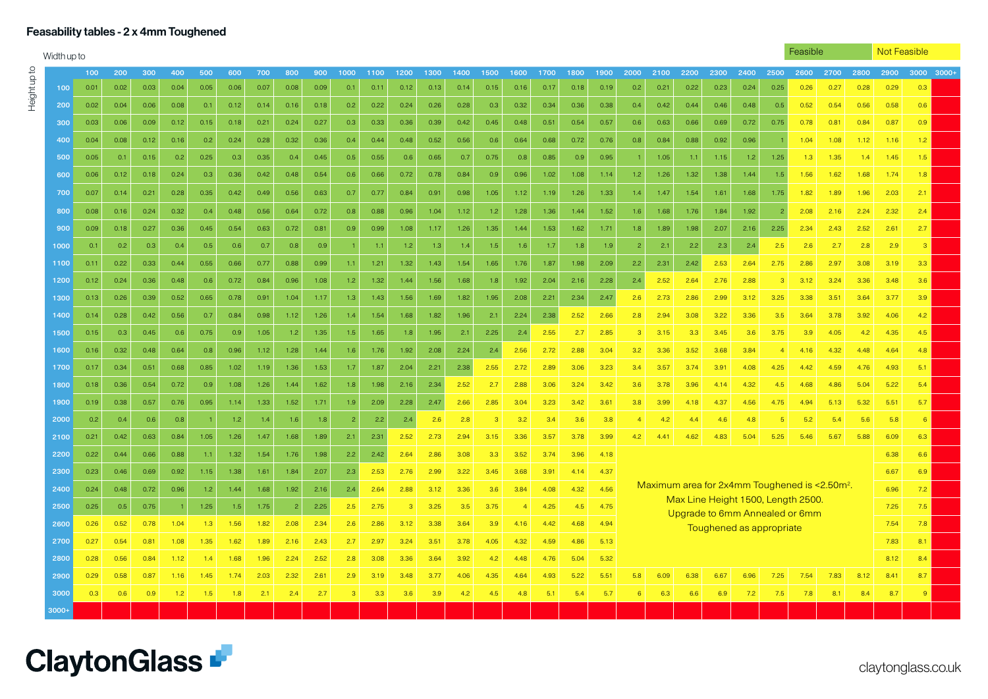# Feasability tables - 2 x 4mm Toughened

Height up to

Heightupto

| Width up to |      |      |      |      |      |      |      |                |      |                |      |      |      |      |               |                |      |      |      |                |      |      |      |                          |                | Feasible                                                             |      |      | Not Feasible |                  |  |
|-------------|------|------|------|------|------|------|------|----------------|------|----------------|------|------|------|------|---------------|----------------|------|------|------|----------------|------|------|------|--------------------------|----------------|----------------------------------------------------------------------|------|------|--------------|------------------|--|
|             | 100  | 200  | 300  | 400  | 500  | 600  | 700  | 800            | 900  | 1000           | 1100 | 1200 | 1300 | 1400 | 1500          | 1600           | 1700 | 1800 | 1900 | 2000           | 2100 | 2200 | 2300 | 2400                     | 2500           | 2600                                                                 | 2700 | 2800 | 2900         | 3000 3000+       |  |
| 100         | 0.01 | 0.02 | 0.03 | 0.04 | 0.05 | 0.06 | 0.07 | 0.08           | 0.09 | 0.1            | 0.11 | 0.12 | 0.13 | 0.14 | 0.15          | 0.16           | 0.17 | 0.18 | 0.19 | 0.2            | 0.21 | 0.22 | 0.23 | 0.24                     | 0.25           | 0.26                                                                 | 0.27 | 0.28 | 0.29         | 0.3              |  |
| 200         | 0.02 | 0.04 | 0.06 | 0.08 | 0.1  | 0.12 | 0.14 | 0.16           | 0.18 | 0.2            | 0.22 | 0.24 | 0.26 | 0.28 | 0.3           | 0.32           | 0.34 | 0.36 | 0.38 | 0.4            | 0.42 | 0.44 | 0.46 | 0.48                     | 0.5            | 0.52                                                                 | 0.54 | 0.56 | 0.58         | 0.6              |  |
| 300         | 0.03 | 0.06 | 0.09 | 0.12 | 0.15 | 0.18 | 0.21 | 0.24           | 0.27 | 0.3            | 0.33 | 0.36 | 0.39 | 0.42 | 0.45          | 0.48           | 0.51 | 0.54 | 0.57 | 0.6            | 0.63 | 0.66 | 0.69 | 0.72                     | 0.75           | 0.78                                                                 | 0.81 | 0.84 | 0.87         | 0.9              |  |
| 400         | 0.04 | 0.08 | 0.12 | 0.16 | 0.2  | 0.24 | 0.28 | 0.32           | 0.36 | 0.4            | 0.44 | 0.48 | 0.52 | 0.56 | 0.6           | 0.64           | 0.68 | 0.72 | 0.76 | 0.8            | 0.84 | 0.88 | 0.92 | 0.96                     |                | 1.04                                                                 | 1.08 | 1.12 | 1.16         | 1.2              |  |
| 500         | 0.05 | 0.1  | 0.15 | 0.2  | 0.25 | 0.3  | 0.35 | 0.4            | 0.45 | 0.5            | 0.55 | 0.6  | 0.65 | 0.7  | 0.75          | 0.8            | 0.85 | 0.9  | 0.95 |                | 1.05 | 1.1  | 1.15 | 1.2                      | 1.25           | 1.3                                                                  | 1.35 | 1.4  | 1.45         | 1.5              |  |
| 600         | 0.06 | 0.12 | 0.18 | 0.24 | 0.3  | 0.36 | 0.42 | 0.48           | 0.54 | 0.6            | 0.66 | 0.72 | 0.78 | 0.84 | 0.9           | 0.96           | 1.02 | 1.08 | 1.14 | 1.2            | 1.26 | 1.32 | 1.38 | 1.44                     | 1.5            | 1.56                                                                 | 1.62 | 1.68 | 1.74         | 1.8              |  |
| 700         | 0.07 | 0.14 | 0.21 | 0.28 | 0.35 | 0.42 | 0.49 | 0.56           | 0.63 | 0.7            | 0.77 | 0.84 | 0.91 | 0.98 | 1.05          | 1.12           | 1.19 | 1.26 | 1.33 | 1.4            | 1.47 | 1.54 | 1.61 | 1.68                     | 1.75           | 1.82                                                                 | 1.89 | 1.96 | 2.03         | 2.1              |  |
| 800         | 0.08 | 0.16 | 0.24 | 0.32 | 0.4  | 0.48 | 0.56 | 0.64           | 0.72 | 0.8            | 0.88 | 0.96 | 1.04 | 1.12 | 1.2           | 1.28           | 1.36 | 1.44 | 1.52 | 1.6            | 1.68 | 1.76 | 1.84 | 1.92                     | $\overline{a}$ | 2.08                                                                 | 2.16 | 2.24 | 2.32         | 2.4              |  |
| 900         | 0.09 | 0.18 | 0.27 | 0.36 | 0.45 | 0.54 | 0.63 | 0.72           | 0.81 | 0.9            | 0.99 | 1.08 | 1.17 | 1.26 | 1.35          | 1.44           | 1.53 | 1.62 | 1.71 | 1.8            | 1.89 | 1.98 | 2.07 | 2.16                     | 2.25           | 2.34                                                                 | 2.43 | 2.52 | 2.61         | 2.7              |  |
| 1000        | 0.1  | 0.2  | 0.3  | 0.4  | 0.5  | 0.6  | 0.7  | 0.8            | 0.9  |                | 1.1  | 1.2  | 1.3  | 1.4  | 1.5           | 1.6            | 1.7  | 1.8  | 1.9  | 2              | 2.1  | 2.2  | 2.3  | 2.4                      | 2.5            | 2.6                                                                  | 2.7  | 2.8  | 2.9          | 3                |  |
| 1100        | 0.11 | 0.22 | 0.33 | 0.44 | 0.55 | 0.66 | 0.77 | 0.88           | 0.99 | 1.1            | 1.21 | 1.32 | 1.43 | 1.54 | 1.65          | 1.76           | 1.87 | 1.98 | 2.09 | 2.2            | 2.31 | 2.42 | 2.53 | 2.64                     | 2.75           | 2.86                                                                 | 2.97 | 3.08 | 3.19         | 3.3 <sub>°</sub> |  |
| 1200        | 0.12 | 0.24 | 0.36 | 0.48 | 0.6  | 0.72 | 0.84 | 0.96           | 1.08 | 1.2            | 1.32 | 1.44 | 1.56 | 1.68 | 1.8           | 1.92           | 2.04 | 2.16 | 2.28 | 2.4            | 2.52 | 2.64 | 2.76 | 2.88                     | 3              | 3.12                                                                 | 3.24 | 3.36 | 3.48         | 3.6              |  |
| 1300        | 0.13 | 0.26 | 0.39 | 0.52 | 0.65 | 0.78 | 0.91 | 1.04           | 1.17 | 1.3            | 1.43 | 1.56 | 1.69 | 1.82 | 1.95          | 2.08           | 2.21 | 2.34 | 2.47 | 2.6            | 2.73 | 2.86 | 2.99 | 3.12                     | 3.25           | 3.38                                                                 | 3.51 | 3.64 | 3.77         | 3.9              |  |
| 1400        | 0.14 | 0.28 | 0.42 | 0.56 | 0.7  | 0.84 | 0.98 | 1.12           | 1.26 | 1.4            | 1.54 | 1.68 | 1.82 | 1.96 | 2.1           | 2.24           | 2.38 | 2.52 | 2.66 | 2.8            | 2.94 | 3.08 | 3.22 | 3.36                     | 3.5            | 3.64                                                                 | 3.78 | 3.92 | 4.06         | 4.2              |  |
| 1500        | 0.15 | 0.3  | 0.45 | 0.6  | 0.75 | 0.9  | 1.05 | 1.2            | 1.35 | 1.5            | 1.65 | 1.8  | 1.95 | 2.1  | 2.25          | 2.4            | 2.55 | 2.7  | 2.85 | $\mathbf{3}$   | 3.15 | 3.3  | 3.45 | 3.6                      | 3.75           | 3.9                                                                  | 4.05 | 4.2  | 4.35         | 4.5              |  |
| 1600        | 0.16 | 0.32 | 0.48 | 0.64 | 0.8  | 0.96 | 1.12 | 1.28           | 1.44 | 1.6            | 1.76 | 1.92 | 2.08 | 2.24 | 2.4           | 2.56           | 2.72 | 2.88 | 3.04 | 3.2            | 3.36 | 3.52 | 3.68 | 3.84                     | $\overline{4}$ | 4.16                                                                 | 4.32 | 4.48 | 4.64         | 4.8              |  |
| 1700        | 0.17 | 0.34 | 0.51 | 0.68 | 0.85 | 1.02 | 1.19 | 1.36           | 1.53 | 1.7            | 1.87 | 2.04 | 2.21 | 2.38 | 2.55          | 2.72           | 2.89 | 3.06 | 3.23 | 3.4            | 3.57 | 3.74 | 3.91 | 4.08                     | 4.25           | 4.42                                                                 | 4.59 | 4.76 | 4.93         | 5.1              |  |
| 1800        | 0.18 | 0.36 | 0.54 | 0.72 | 0.9  | 1.08 | 1.26 | 1.44           | 1.62 | 1.8            | 1.98 | 2.16 | 2.34 | 2.52 | 2.7           | 2.88           | 3.06 | 3.24 | 3.42 | 3.6            | 3.78 | 3.96 | 4.14 | 4.32                     | 4.5            | 4.68                                                                 | 4.86 | 5.04 | 5.22         | 5.4              |  |
| 1900        | 0.19 | 0.38 | 0.57 | 0.76 | 0.95 | 1.14 | 1.33 | 1.52           | 1.71 | 1.9            | 2.09 | 2.28 | 2.47 | 2.66 | 2.85          | 3.04           | 3.23 | 3.42 | 3.61 | 3.8            | 3.99 | 4.18 | 4.37 | 4.56                     | 4.75           | 4.94                                                                 | 5.13 | 5.32 | 5.51         | 5.7              |  |
| 2000        | 0.2  | 0.4  | 0.6  | 0.8  |      | 1.2  | 1.4  | 1.6            | 1.8  | $\overline{2}$ | 2.2  | 2.4  | 2.6  | 2.8  | $\mathcal{B}$ | 3.2            | 3.4  | 3.6  | 3.8  | $\overline{4}$ | 4.2  | 4.4  | 4.6  | 4.8                      | $\sqrt{5}$     | 5.2                                                                  | 5.4  | 5.6  | 5.8          | 6                |  |
| 2100        | 0.21 | 0.42 | 0.63 | 0.84 | 1.05 | 1.26 | 1.47 | 1.68           | 1.89 | 2.1            | 2.31 | 2.52 | 2.73 | 2.94 | 3.15          | 3.36           | 3.57 | 3.78 | 3.99 | 4.2            | 4.41 | 4.62 | 4.83 | 5.04                     | 5.25           | 5.46                                                                 | 5.67 | 5.88 | 6.09         | 6.3              |  |
| 2200        | 0.22 | 0.44 | 0.66 | 0.88 | 1.1  | 1.32 | 1.54 | 1.76           | 1.98 | 2.2            | 2.42 | 2.64 | 2.86 | 3.08 | 3.3           | 3.52           | 3.74 | 3.96 | 4.18 |                |      |      |      |                          |                |                                                                      |      |      | 6.38         | 6.6              |  |
| 2300        | 0.23 | 0.46 | 0.69 | 0.92 | 1.15 | 1.38 | 1.61 | 1.84           | 2.07 | 2.3            | 2.53 | 2.76 | 2.99 | 3.22 | 3.45          | 3.68           | 3.91 | 4.14 | 4.37 |                |      |      |      |                          |                |                                                                      |      |      | 6.67         | 6.9              |  |
| 2400        | 0.24 | 0.48 | 0.72 | 0.96 | 1.2  | 1.44 | 1.68 | 1.92           | 2.16 | 2.4            | 2.64 | 2.88 | 3.12 | 3.36 | 3.6           | 3.84           | 4.08 | 4.32 | 4.56 |                |      |      |      |                          |                | Maximum area for 2x4mm Toughened is <2.50m <sup>2</sup> .            |      |      | 6.96         | 7.2              |  |
| 2500        | 0.25 | 0.5  | 0.75 |      | 1.25 | 1.5  | 1.75 | $\overline{2}$ | 2.25 | 2.5            | 2.75 | 3    | 3.25 | 3.5  | 3.75          | $\overline{4}$ | 4.25 | 4.5  | 4.75 |                |      |      |      |                          |                | Max Line Height 1500, Length 2500.<br>Upgrade to 6mm Annealed or 6mm |      |      | 7.25         | 7.5              |  |
| 2600        | 0.26 | 0.52 | 0.78 | 1.04 | 1.3  | 1.56 | 1.82 | 2.08           | 2.34 | 2.6            | 2.86 | 3.12 | 3.38 | 3.64 | 3.9           | 4.16           | 4.42 | 4.68 | 4.94 |                |      |      |      | Toughened as appropriate |                |                                                                      |      |      | 7.54         | 7.8              |  |
| 2700        | 0.27 | 0.54 | 0.81 | 1.08 | 1.35 | 1.62 | 1.89 | 2.16           | 2.43 | 2.7            | 2.97 | 3.24 | 3.51 | 3.78 | 4.05          | 4.32           | 4.59 | 4.86 | 5.13 |                |      |      |      |                          |                |                                                                      |      |      | 7.83         | 8.1              |  |
| 2800        | 0.28 | 0.56 | 0.84 | 1.12 | 1.4  | 1.68 | 1.96 | 2.24           | 2.52 | 2.8            | 3.08 | 3.36 | 3.64 | 3.92 | 4.2           | 4.48           | 4.76 | 5.04 | 5.32 |                |      |      |      |                          |                |                                                                      |      |      | 8.12         | 8.4              |  |
| 2900        | 0.29 | 0.58 | 0.87 | 1.16 | 1.45 | 1.74 | 2.03 | 2.32           | 2.61 | 2.9            | 3.19 | 3.48 | 3.77 | 4.06 | 4.35          | 4.64           | 4.93 | 5.22 | 5.51 | 5.8            | 6.09 | 6.38 | 6.67 | 6.96                     | 7.25           | 7.54                                                                 | 7.83 | 8.12 | 8.41         | 8.7              |  |
| 3000        | 0.3  | 0.6  | 0.9  | 1.2  | 1.5  | 1.8  | 2.1  | 2.4            | 2.7  | 3              | 3.3  | 3.6  | 3.9  | 4.2  | 4.5           | 4.8            | 5.1  | 5.4  | 5.7  | 6              | 6.3  | 6.6  | 6.9  | 7.2                      | 7.5            | 7.8                                                                  | 8.1  | 8.4  | 8.7          | 9                |  |
| $3000+$     |      |      |      |      |      |      |      |                |      |                |      |      |      |      |               |                |      |      |      |                |      |      |      |                          |                |                                                                      |      |      |              |                  |  |

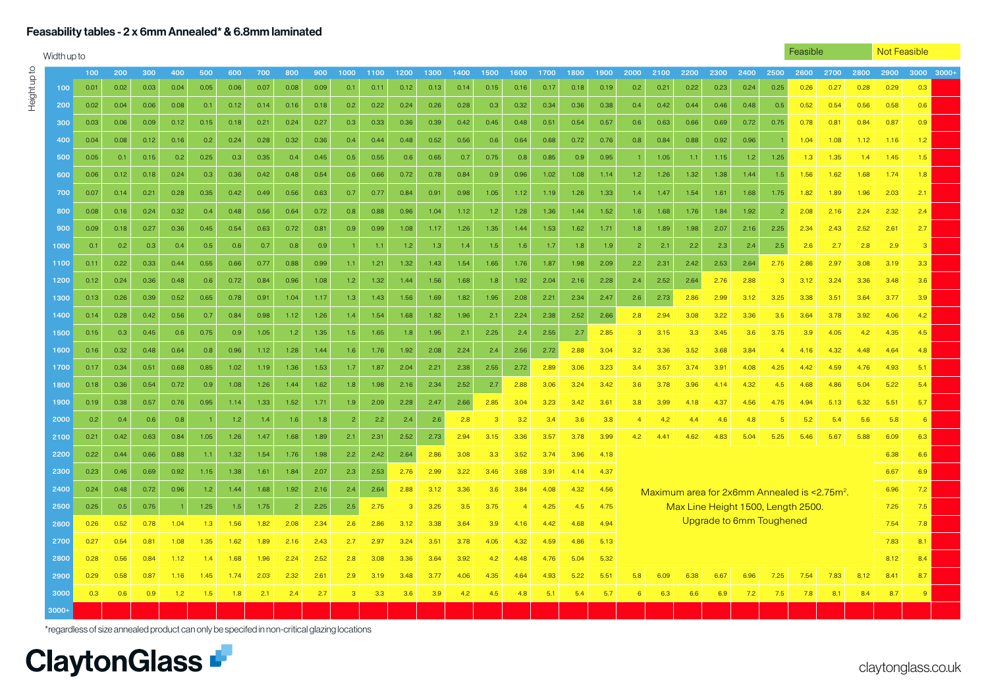### Feasability tables - 2 x 6mm Annealed\* & 6.8mm laminated

Height up to

Heightupto

|         | Feasible<br>Width up to |      |      |      |      |      |      |                  |      |                |      |      |      |      |               | Not Feasible |      |      |      |                |      |      |      |                          |                |                                                          |      |      |      |                  |  |
|---------|-------------------------|------|------|------|------|------|------|------------------|------|----------------|------|------|------|------|---------------|--------------|------|------|------|----------------|------|------|------|--------------------------|----------------|----------------------------------------------------------|------|------|------|------------------|--|
|         | 100                     | 200  | 300  | 400  | 500  | 600  | 700  | 800              | 900  | 1000           | 1100 | 1200 | 1300 | 1400 | 1500          | 1600         | 1700 | 1800 | 1900 | 2000           | 2100 | 2200 | 2300 | 2400                     | 2500           | 2600                                                     | 2700 | 2800 | 2900 | 3000 3000+       |  |
| 100     | 0.01                    | 0.02 | 0.03 | 0.04 | 0.05 | 0.06 | 0.07 | 0.08             | 0.09 | 0.1            | 0.11 | 0.12 | 0.13 | 0.14 | 0.15          | 0.16         | 0.17 | 0.18 | 0.19 | 0.2            | 0.21 | 0.22 | 0.23 | 0.24                     | 0.25           | 0.26                                                     | 0.27 | 0.28 | 0.29 | 0.3              |  |
| 200     | 0.02                    | 0.04 | 0.06 | 0.08 | 0.1  | 0.12 | 0.14 | 0.16             | 0.18 | 0.2            | 0.22 | 0.24 | 0.26 | 0.28 | 0.3           | 0.32         | 0.34 | 0.36 | 0.38 | 0.4            | 0.42 | 0.44 | 0.46 | 0.48                     | 0.5            | 0.52                                                     | 0.54 | 0.56 | 0.58 | 0.6              |  |
| 300     | 0.03                    | 0.06 | 0.09 | 0.12 | 0.15 | 0.18 | 0.21 | 0.24             | 0.27 | 0.3            | 0.33 | 0.36 | 0.39 | 0.42 | 0.45          | 0.48         | 0.51 | 0.54 | 0.57 | 0.6            | 0.63 | 0.66 | 0.69 | 0.72                     | 0.75           | 0.78                                                     | 0.81 | 0.84 | 0.87 | 0.9 <sub>0</sub> |  |
| 400     | 0.04                    | 0.08 | 0.12 | 0.16 | 0.2  | 0.24 | 0.28 | 0.32             | 0.36 | 0.4            | 0.44 | 0.48 | 0.52 | 0.56 | 0.6           | 0.64         | 0.68 | 0.72 | 0.76 | 0.8            | 0.84 | 0.88 | 0.92 | 0.96                     |                | 1.04                                                     | 1.08 | 1.12 | 1.16 | 1.2              |  |
| 500     | 0.05                    | 0.1  | 0.15 | 0.2  | 0.25 | 0.3  | 0.35 | 0.4              | 0.45 | 0.5            | 0.55 | 0.6  | 0.65 | 0.7  | 0.75          | 0.8          | 0.85 | 0.9  | 0.95 |                | 1.05 | 1.1  | 1.15 | 1.2                      | 1.25           | 1.3                                                      | 1.35 | 1.4  | 1.45 | 1.5              |  |
| 600     | 0.06                    | 0.12 | 0.18 | 0.24 | 0.3  | 0.36 | 0.42 | 0.48             | 0.54 | 0.6            | 0.66 | 0.72 | 0.78 | 0.84 | 0.9           | 0.96         | 1.02 | 1.08 | 1.14 | 1.2            | 1.26 | 1.32 | 1.38 | 1.44                     | 1.5            | 1.56                                                     | 1.62 | 1.68 | 1.74 | 1.8              |  |
| 700     | 0.07                    | 0.14 | 0.21 | 0.28 | 0.35 | 0.42 | 0.49 | 0.56             | 0.63 | 0.7            | 0.77 | 0.84 | 0.91 | 0.98 | 1.05          | 1.12         | 1.19 | 1.26 | 1.33 | 1.4            | 1.47 | 1.54 | 1.61 | 1.68                     | 1.75           | 1.82                                                     | 1.89 | 1.96 | 2.03 | 2.1              |  |
| 800     | 0.08                    | 0.16 | 0.24 | 0.32 | 0.4  | 0.48 | 0.56 | 0.64             | 0.72 | 0.8            | 0.88 | 0.96 | 1.04 | 1.12 | 1.2           | 1.28         | 1.36 | 1.44 | 1.52 | 1.6            | 1.68 | 1.76 | 1.84 | 1.92                     | $\overline{z}$ | 2.08                                                     | 2.16 | 2.24 | 2.32 | 2.4              |  |
| 900     | 0.09                    | 0.18 | 0.27 | 0.36 | 0.45 | 0.54 | 0.63 | 0.72             | 0.81 | 0.9            | 0.99 | 1.08 | 1.17 | 1.26 | 1.35          | 1.44         | 1.53 | 1.62 | 1.71 | 1.8            | 1.89 | 1.98 | 2.07 | 2.16                     | 2.25           | 2.34                                                     | 2.43 | 2.52 | 2.61 | 2.7              |  |
| 1000    | 0.1                     | 0.2  | 0.3  | 0.4  | 0.5  | 0.6  | 0.7  | 0.8              | 0.9  |                | 1.1  | 1.2  | 1.3  | 1.4  | 1.5           | 1.6          | 1.7  | 1.8  | 1.9  | 2              | 2.1  | 2.2  | 2.3  | 2.4                      | 2.5            | 2.6                                                      | 2.7  | 2.8  | 2.9  | -3               |  |
| 1100    | 0.11                    | 0.22 | 0.33 | 0.44 | 0.55 | 0.66 | 0.77 | 0.88             | 0.99 | 1.1            | 1.21 | 1.32 | 1.43 | 1.54 | 1.65          | 1.76         | 1.87 | 1.98 | 2.09 | 2.2            | 2.31 | 2.42 | 2.53 | 2.64                     | 2.75           | 2.86                                                     | 2.97 | 3.08 | 3.19 | 3.3 <sub>°</sub> |  |
| 1200    | 0.12                    | 0.24 | 0.36 | 0.48 | 0.6  | 0.72 | 0.84 | 0.96             | 1.08 | 1.2            | 1.32 | 1.44 | 1.56 | 1.68 | 1.8           | 1.92         | 2.04 | 2.16 | 2.28 | 2.4            | 2.52 | 2.64 | 2.76 | 2.88                     | 3              | 3.12                                                     | 3.24 | 3.36 | 3.48 | 3.6              |  |
| 1300    | 0.13                    | 0.26 | 0.39 | 0.52 | 0.65 | 0.78 | 0.91 | 1.04             | 1.17 | 1.3            | 1.43 | 1.56 | 1.69 | 1.82 | 1.95          | 2.08         | 2.21 | 2.34 | 2.47 | 2.6            | 2.73 | 2.86 | 2.99 | 3.12                     | 3.25           | 3.38                                                     | 3.51 | 3.64 | 3.77 | 3.9              |  |
| 1400    | 0.14                    | 0.28 | 0.42 | 0.56 | 0.7  | 0.84 | 0.98 | 1.12             | 1.26 | 1.4            | 1.54 | 1.68 | 1.82 | 1.96 | 2.1           | 2.24         | 2.38 | 2.52 | 2.66 | 2.8            | 2.94 | 3.08 | 3.22 | 3.36                     | 3.5            | 3.64                                                     | 3.78 | 3.92 | 4.06 | 4.2              |  |
| 1500    | 0.15                    | 0.3  | 0.45 | 0.6  | 0.75 | 0.9  | 1.05 | 1.2 <sub>2</sub> | 1.35 | 1.5            | 1.65 | 1.8  | 1.95 | 2.1  | 2.25          | 2.4          | 2.55 | 2.7  | 2.85 | $\mathbf{3}$   | 3.15 | 3.3  | 3.45 | 3.6                      | 3.75           | 3.9                                                      | 4.05 | 4.2  | 4.35 | 4.5              |  |
| 1600    | 0.16                    | 0.32 | 0.48 | 0.64 | 0.8  | 0.96 | 1.12 | 1.28             | 1.44 | 1.6            | 1.76 | 1.92 | 2.08 | 2.24 | 2.4           | 2.56         | 2.72 | 2.88 | 3.04 | 3.2            | 3.36 | 3.52 | 3.68 | 3.84                     | $\overline{4}$ | 4.16                                                     | 4.32 | 4.48 | 4.64 | 4.8              |  |
| 1700    | 0.17                    | 0.34 | 0.51 | 0.68 | 0.85 | 1.02 | 1.19 | 1.36             | 1.53 | 1.7            | 1.87 | 2.04 | 2.21 | 2.38 | 2.55          | 2.72         | 2.89 | 3.06 | 3.23 | 3.4            | 3.57 | 3.74 | 3.91 | 4.08                     | 4.25           | 4.42                                                     | 4.59 | 4.76 | 4.93 | 5.1              |  |
| 1800    | 0.18                    | 0.36 | 0.54 | 0.72 | 0.9  | 1.08 | 1.26 | 1.44             | 1.62 | 1.8            | 1.98 | 2.16 | 2.34 | 2.52 | 2.7           | 2.88         | 3.06 | 3.24 | 3.42 | 3.6            | 3.78 | 3.96 | 4.14 | 4.32                     | 4.5            | 4.68                                                     | 4.86 | 5.04 | 5.22 | 5.4              |  |
| 1900    | 0.19                    | 0.38 | 0.57 | 0.76 | 0.95 | 1.14 | 1.33 | 1.52             | 1.71 | 1.9            | 2.09 | 2.28 | 2.47 | 2.66 | 2.85          | 3.04         | 3.23 | 3.42 | 3.61 | 3.8            | 3.99 | 4.18 | 4.37 | 4.56                     | 4.75           | 4.94                                                     | 5.13 | 5.32 | 5.51 | 5.7              |  |
| 2000    | 0.2                     | 0.4  | 0.6  | 0.8  |      | 1.2  | 1.4  | 1.6              | 1.8  | $\overline{2}$ | 2.2  | 2.4  | 2.6  | 2.8  | $\mathcal{B}$ | 3.2          | 3.4  | 3.6  | 3.8  | $\overline{4}$ | 4.2  | 4.4  | 4.6  | 4.8                      | 5              | 5.2                                                      | 5.4  | 5.6  | 5.8  | 6                |  |
| 2100    | 0.21                    | 0.42 | 0.63 | 0.84 | 1.05 | 1.26 | 1.47 | 1.68             | 1.89 | 2.1            | 2.31 | 2.52 | 2.73 | 2.94 | 3.15          | 3.36         | 3.57 | 3.78 | 3.99 | 4.2            | 4.41 | 4.62 | 4.83 | 5.04                     | 5.25           | 5.46                                                     | 5.67 | 5.88 | 6.09 | 6.3              |  |
| 2200    | 0.22                    | 0.44 | 0.66 | 0.88 | 1.1  | 1.32 | 1.54 | 1.76             | 1.98 | 2.2            | 2.42 | 2.64 | 2.86 | 3.08 | 3.3           | 3.52         | 3.74 | 3.96 | 4.18 |                |      |      |      |                          |                |                                                          |      |      | 6.38 | 6.6              |  |
| 2300    | 0.23                    | 0.46 | 0.69 | 0.92 | 1.15 | 1.38 | 1.61 | 1.84             | 2.07 | 2.3            | 2.53 | 2.76 | 2.99 | 3.22 | 3.45          | 3.68         | 3.91 | 4.14 | 4.37 |                |      |      |      |                          |                |                                                          |      |      | 6.67 | 6.9              |  |
| 2400    | 0.24                    | 0.48 | 0.72 | 0.96 | 1.2  | 1.44 | 1.68 | 1.92             | 2.16 | 2.4            | 2.64 | 2.88 | 3.12 | 3.36 | 3.6           | 3.84         | 4.08 | 4.32 | 4.56 |                |      |      |      |                          |                | Maximum area for 2x6mm Annealed is <2.75m <sup>2</sup> . |      |      | 6.96 | 7.2              |  |
| 2500    | 0.25                    | 0.5  | 0.75 |      | 1.25 | 1.5  | 1.75 | -2               | 2.25 | 2.5            | 2.75 | 3    | 3.25 | 3.5  | 3.75          | 4            | 4.25 | 4.5  | 4.75 |                |      |      |      |                          |                | Max Line Height 1500, Length 2500.                       |      |      | 7.25 | 7.5              |  |
| 2600    | 0.26                    | 0.52 | 0.78 | 1.04 | 1.3  | 1.56 | 1.82 | 2.08             | 2.34 | 2.6            | 2.86 | 3.12 | 3.38 | 3.64 | 3.9           | 4.16         | 4.42 | 4.68 | 4.94 |                |      |      |      | Upgrade to 6mm Toughened |                |                                                          |      |      | 7.54 | 7.8              |  |
| 2700    | 0.27                    | 0.54 | 0.81 | 1.08 | 1.35 | 1.62 | 1.89 | 2.16             | 2.43 | 2.7            | 2.97 | 3.24 | 3.51 | 3.78 | 4.05          | 4.32         | 4.59 | 4.86 | 5.13 |                |      |      |      |                          |                |                                                          |      |      | 7.83 | 8.1              |  |
| 2800    | 0.28                    | 0.56 | 0.84 | 1.12 | 1.4  | 1.68 | 1.96 | 2.24             | 2.52 | 2.8            | 3.08 | 3.36 | 3.64 | 3.92 | 4.2           | 4.48         | 4.76 | 5.04 | 5.32 |                |      |      |      |                          |                |                                                          |      |      | 8.12 | 8.4              |  |
| 2900    | 0.29                    | 0.58 | 0.87 | 1.16 | 1.45 | 1.74 | 2.03 | 2.32             | 2.61 | 2.9            | 3.19 | 3.48 | 3.77 | 4.06 | 4.35          | 4.64         | 4.93 | 5.22 | 5.51 | 5.8            | 6.09 | 6.38 | 6.67 | 6.96                     | 7.25           | 7.54                                                     | 7.83 | 8.12 | 8.41 | 8.7              |  |
| 3000    | 0.3                     | 0.6  | 0.9  | 1.2  | 1.5  | 1.8  | 2.1  | 2.4              | 2.7  |                | 3.3  | 3.6  | 3.9  | 4.2  | 4.5           | 4.8          | 5.1  | 5.4  | 5.7  | 6              | 6.3  | 6.6  | 6.9  | 7.2                      | 7.5            | 7.8                                                      | 8.1  | 8.4  | 8.7  | -9               |  |
| $3000+$ |                         |      |      |      |      |      |      |                  |      |                |      |      |      |      |               |              |      |      |      |                |      |      |      |                          |                |                                                          |      |      |      |                  |  |

\*regardless of size annealed product can only be specifed in non-critical glazing locations